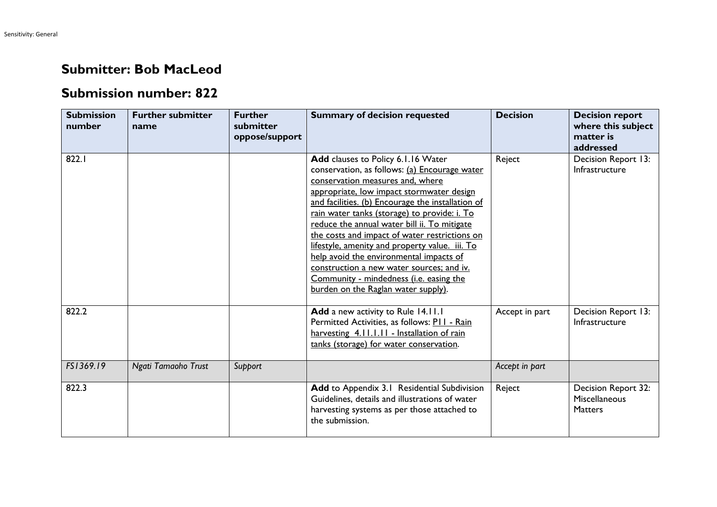## **Submitter: Bob MacLeod**

## **Submission number: 822**

| <b>Submission</b><br>number | <b>Further submitter</b><br>name | <b>Further</b><br>submitter<br>oppose/support | <b>Summary of decision requested</b>                                                                                                                                                                                                                                                                                                                                                                                                                                                                                                                                                                   | <b>Decision</b> | <b>Decision report</b><br>where this subject<br>matter is<br>addressed |
|-----------------------------|----------------------------------|-----------------------------------------------|--------------------------------------------------------------------------------------------------------------------------------------------------------------------------------------------------------------------------------------------------------------------------------------------------------------------------------------------------------------------------------------------------------------------------------------------------------------------------------------------------------------------------------------------------------------------------------------------------------|-----------------|------------------------------------------------------------------------|
| 822.I                       |                                  |                                               | Add clauses to Policy 6.1.16 Water<br>conservation, as follows: (a) Encourage water<br>conservation measures and, where<br>appropriate, low impact stormwater design<br>and facilities. (b) Encourage the installation of<br>rain water tanks (storage) to provide: i. To<br>reduce the annual water bill ii. To mitigate<br>the costs and impact of water restrictions on<br>lifestyle, amenity and property value. iii. To<br>help avoid the environmental impacts of<br>construction a new water sources; and iv.<br>Community - mindedness (i.e. easing the<br>burden on the Raglan water supply). | Reject          | Decision Report 13:<br>Infrastructure                                  |
| 822.2                       |                                  |                                               | Add a new activity to Rule 14.11.1<br>Permitted Activities, as follows: P11 - Rain<br>harvesting 4.11.1.11 - Installation of rain<br>tanks (storage) for water conservation.                                                                                                                                                                                                                                                                                                                                                                                                                           | Accept in part  | Decision Report 13:<br>Infrastructure                                  |
| FS1369.19                   | Ngati Tamaoho Trust              | Support                                       |                                                                                                                                                                                                                                                                                                                                                                                                                                                                                                                                                                                                        | Accept in part  |                                                                        |
| 822.3                       |                                  |                                               | Add to Appendix 3.1 Residential Subdivision<br>Guidelines, details and illustrations of water<br>harvesting systems as per those attached to<br>the submission.                                                                                                                                                                                                                                                                                                                                                                                                                                        | Reject          | Decision Report 32:<br><b>Miscellaneous</b><br><b>Matters</b>          |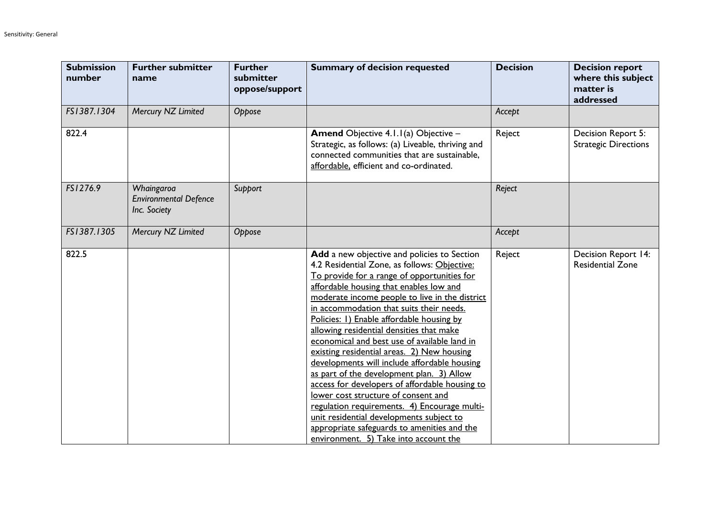| <b>Submission</b><br>number | <b>Further submitter</b><br>name                           | <b>Further</b><br>submitter<br>oppose/support | <b>Summary of decision requested</b>                                                                                                                                                                                                                                                                                                                                                                                                                                                                                                                                                                                                                                                                                                                                                                                                                 | <b>Decision</b> | <b>Decision report</b><br>where this subject<br>matter is<br>addressed |
|-----------------------------|------------------------------------------------------------|-----------------------------------------------|------------------------------------------------------------------------------------------------------------------------------------------------------------------------------------------------------------------------------------------------------------------------------------------------------------------------------------------------------------------------------------------------------------------------------------------------------------------------------------------------------------------------------------------------------------------------------------------------------------------------------------------------------------------------------------------------------------------------------------------------------------------------------------------------------------------------------------------------------|-----------------|------------------------------------------------------------------------|
| FS1387.1304                 | Mercury NZ Limited                                         | Oppose                                        |                                                                                                                                                                                                                                                                                                                                                                                                                                                                                                                                                                                                                                                                                                                                                                                                                                                      | Accept          |                                                                        |
| 822.4                       |                                                            |                                               | Amend Objective 4.1.1(a) Objective -<br>Strategic, as follows: (a) Liveable, thriving and<br>connected communities that are sustainable,<br>affordable, efficient and co-ordinated.                                                                                                                                                                                                                                                                                                                                                                                                                                                                                                                                                                                                                                                                  | Reject          | Decision Report 5:<br><b>Strategic Directions</b>                      |
| FS1276.9                    | Whaingaroa<br><b>Environmental Defence</b><br>Inc. Society | Support                                       |                                                                                                                                                                                                                                                                                                                                                                                                                                                                                                                                                                                                                                                                                                                                                                                                                                                      | Reject          |                                                                        |
| FS1387.1305                 | Mercury NZ Limited                                         | Oppose                                        |                                                                                                                                                                                                                                                                                                                                                                                                                                                                                                                                                                                                                                                                                                                                                                                                                                                      | Accept          |                                                                        |
| 822.5                       |                                                            |                                               | Add a new objective and policies to Section<br>4.2 Residential Zone, as follows: Objective:<br>To provide for a range of opportunities for<br>affordable housing that enables low and<br>moderate income people to live in the district<br>in accommodation that suits their needs.<br>Policies: 1) Enable affordable housing by<br>allowing residential densities that make<br>economical and best use of available land in<br>existing residential areas. 2) New housing<br>developments will include affordable housing<br>as part of the development plan. 3) Allow<br>access for developers of affordable housing to<br>lower cost structure of consent and<br>regulation requirements. 4) Encourage multi-<br>unit residential developments subject to<br>appropriate safeguards to amenities and the<br>environment. 5) Take into account the | Reject          | Decision Report 14:<br><b>Residential Zone</b>                         |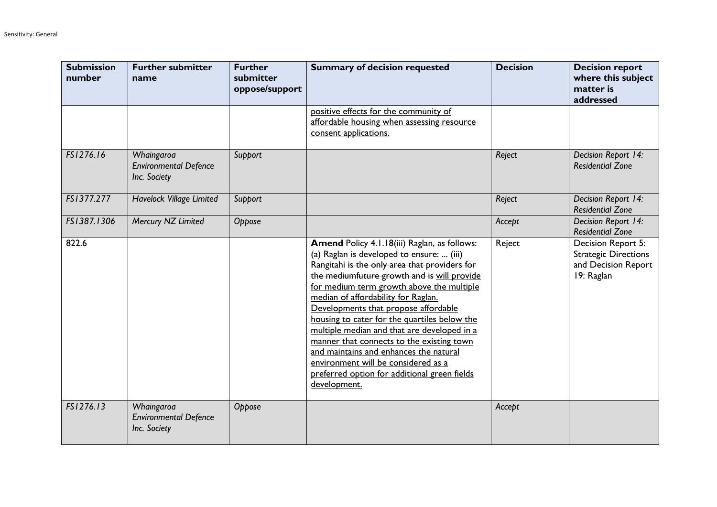| <b>Submission</b><br>number | <b>Further submitter</b><br>name                           | <b>Further</b><br>submitter<br>oppose/support | <b>Summary of decision requested</b>                                                                                                                                                                                                                                                                                                                                                                                                                                                                                                                                                                               | <b>Decision</b> | <b>Decision report</b><br>where this subject<br>matter is<br>addressed                 |
|-----------------------------|------------------------------------------------------------|-----------------------------------------------|--------------------------------------------------------------------------------------------------------------------------------------------------------------------------------------------------------------------------------------------------------------------------------------------------------------------------------------------------------------------------------------------------------------------------------------------------------------------------------------------------------------------------------------------------------------------------------------------------------------------|-----------------|----------------------------------------------------------------------------------------|
|                             |                                                            |                                               | positive effects for the community of<br>affordable housing when assessing resource<br>consent applications.                                                                                                                                                                                                                                                                                                                                                                                                                                                                                                       |                 |                                                                                        |
| FS1276.16                   | Whaingaroa<br><b>Environmental Defence</b><br>Inc. Society | Support                                       |                                                                                                                                                                                                                                                                                                                                                                                                                                                                                                                                                                                                                    | Reject          | Decision Report 14:<br><b>Residential Zone</b>                                         |
| FS1377.277                  | Havelock Village Limited                                   | Support                                       |                                                                                                                                                                                                                                                                                                                                                                                                                                                                                                                                                                                                                    | Reject          | Decision Report 14:<br><b>Residential Zone</b>                                         |
| FS1387.1306                 | Mercury NZ Limited                                         | Oppose                                        |                                                                                                                                                                                                                                                                                                                                                                                                                                                                                                                                                                                                                    | Accept          | Decision Report 14:<br><b>Residential Zone</b>                                         |
| 822.6                       |                                                            |                                               | Amend Policy 4.1.18(iii) Raglan, as follows:<br>(a) Raglan is developed to ensure:  (iii)<br>Rangitahi is the only area that providers for<br>the mediumfuture growth and is will provide<br>for medium term growth above the multiple<br>median of affordability for Raglan.<br>Developments that propose affordable<br>housing to cater for the quartiles below the<br>multiple median and that are developed in a<br>manner that connects to the existing town<br>and maintains and enhances the natural<br>environment will be considered as a<br>preferred option for additional green fields<br>development. | Reject          | Decision Report 5:<br><b>Strategic Directions</b><br>and Decision Report<br>19: Raglan |
| FS1276.13                   | Whaingaroa<br><b>Environmental Defence</b><br>Inc. Society | Oppose                                        |                                                                                                                                                                                                                                                                                                                                                                                                                                                                                                                                                                                                                    | Accept          |                                                                                        |